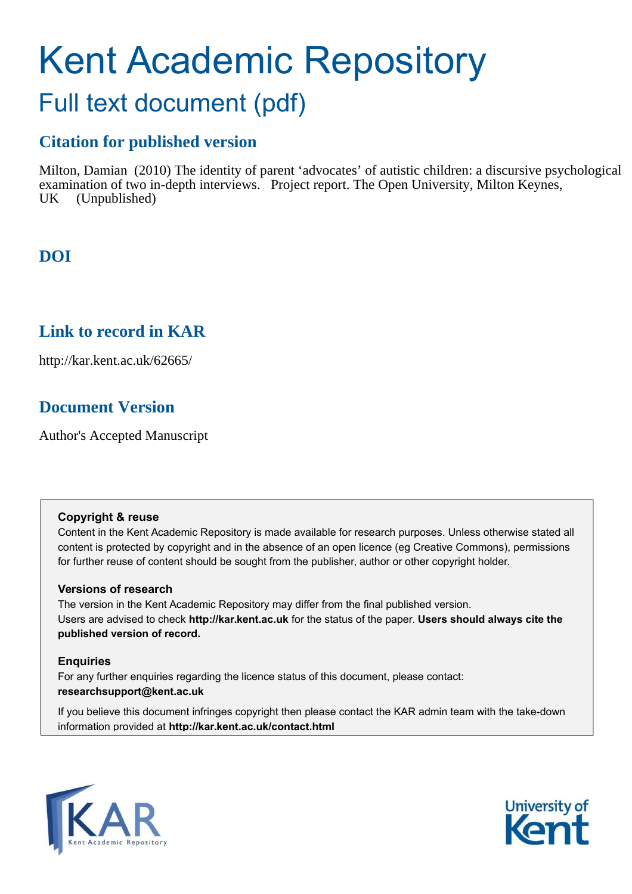# Kent Academic Repository Full text document (pdf)

# **Citation for published version**

Milton, Damian (2010) The identity of parent 'advocates' of autistic children: a discursive psychological examination of two in-depth interviews. Project report. The Open University, Milton Keynes, UK (Unpublished)

# **DOI**

## **Link to record in KAR**

http://kar.kent.ac.uk/62665/

# **Document Version**

Author's Accepted Manuscript

## **Copyright & reuse**

Content in the Kent Academic Repository is made available for research purposes. Unless otherwise stated all content is protected by copyright and in the absence of an open licence (eg Creative Commons), permissions for further reuse of content should be sought from the publisher, author or other copyright holder.

## **Versions of research**

The version in the Kent Academic Repository may differ from the final published version. Users are advised to check **http://kar.kent.ac.uk** for the status of the paper. **Users should always cite the published version of record.**

## **Enquiries**

For any further enquiries regarding the licence status of this document, please contact: **researchsupport@kent.ac.uk**

If you believe this document infringes copyright then please contact the KAR admin team with the take-down information provided at **http://kar.kent.ac.uk/contact.html**



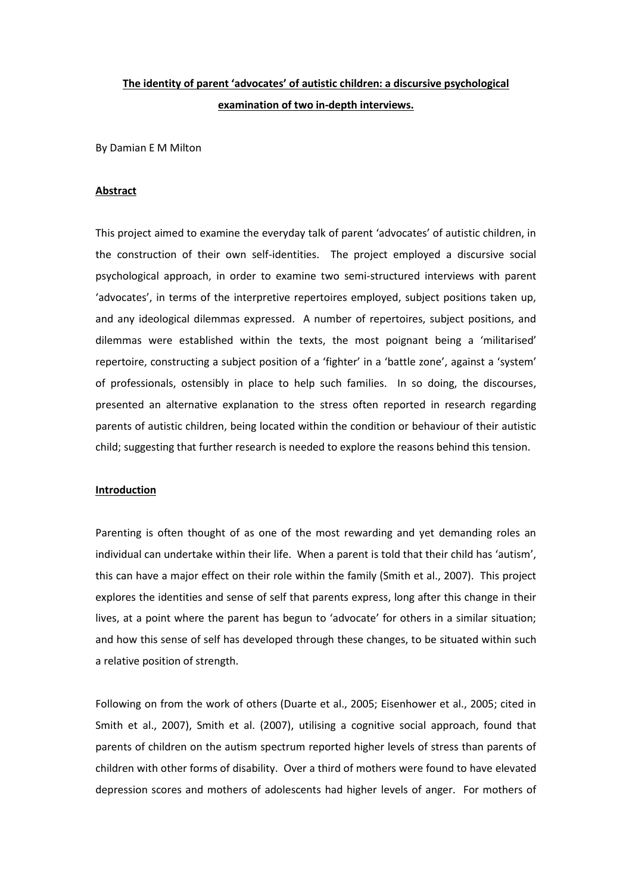## The identity of parent 'advocates' of autistic children: a discursive psychological **examination of two in-depth interviews.**

By Damian E M Milton

#### **Abstract**

This project aimed to examine the everyday talk of parent 'advocates' of autistic children, in the construction of their own self-identities. The project employed a discursive social psychological approach, in order to examine two semi-structured interviews with parent 'advocates', in terms of the interpretive repertoires emploved, subject positions taken up. and any ideological dilemmas expressed. A number of repertoires, subject positions, and dilemmas were established within the texts, the most poignant being a 'militarised' repertoire, constructing a subject position of a 'fighter' in a 'battle zone', against a 'system' of professionals, ostensibly in place to help such families. In so doing, the discourses, presented an alternative explanation to the stress often reported in research regarding parents of autistic children, being located within the condition or behaviour of their autistic child; suggesting that further research is needed to explore the reasons behind this tension.

### **Introduction**

Parenting is often thought of as one of the most rewarding and yet demanding roles an individual can undertake within their life. When a parent is told that their child has 'autism', this can have a major effect on their role within the family (Smith et al., 2007). This project explores the identities and sense of self that parents express, long after this change in their lives, at a point where the parent has begun to 'advocate' for others in a similar situation; and how this sense of self has developed through these changes, to be situated within such a relative position of strength.

Following on from the work of others (Duarte et al., 2005; Eisenhower et al., 2005; cited in Smith et al., 2007), Smith et al. (2007), utilising a cognitive social approach, found that parents of children on the autism spectrum reported higher levels of stress than parents of children with other forms of disability. Over a third of mothers were found to have elevated depression scores and mothers of adolescents had higher levels of anger. For mothers of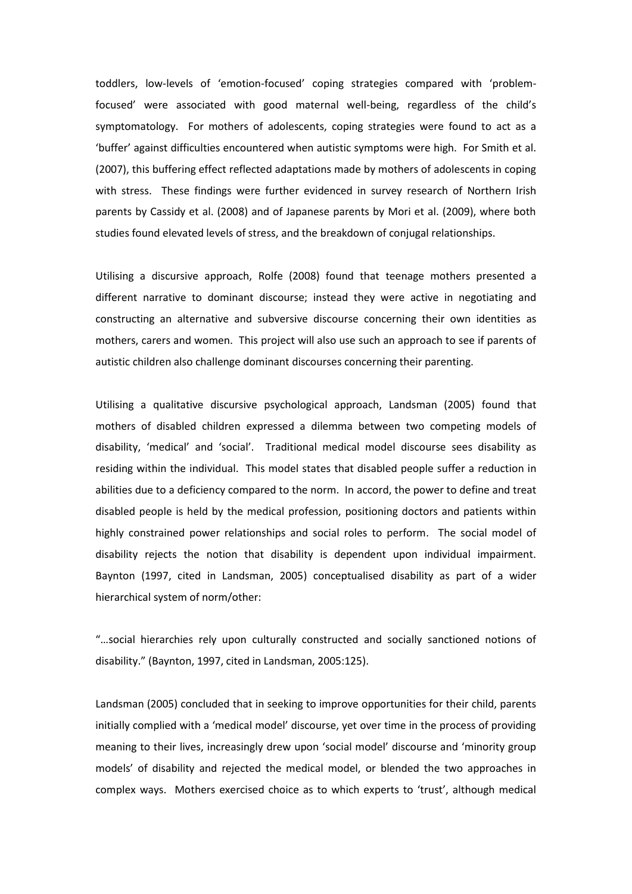toddlers, low-levels of 'emotion-focused' coping strategies compared with 'problemfocused' were associated with good maternal well-being, regardless of the child's symptomatology. For mothers of adolescents, coping strategies were found to act as a 'buffer' against difficulties encountered when autistic symptoms were high. For Smith et al. (2007), this buffering effect reflected adaptations made by mothers of adolescents in coping with stress. These findings were further evidenced in survey research of Northern Irish parents by Cassidy et al. (2008) and of Japanese parents by Mori et al. (2009), where both studies found elevated levels of stress, and the breakdown of conjugal relationships.

Utilising a discursive approach, Rolfe (2008) found that teenage mothers presented a different narrative to dominant discourse; instead they were active in negotiating and constructing an alternative and subversive discourse concerning their own identities as mothers, carers and women. This project will also use such an approach to see if parents of autistic children also challenge dominant discourses concerning their parenting.

Utilising a qualitative discursive psychological approach, Landsman (2005) found that mothers of disabled children expressed a dilemma between two competing models of disability, 'medical' and 'social'. Traditional medical model discourse sees disability as residing within the individual. This model states that disabled people suffer a reduction in abilities due to a deficiency compared to the norm. In accord, the power to define and treat disabled people is held by the medical profession, positioning doctors and patients within highly constrained power relationships and social roles to perform. The social model of disability rejects the notion that disability is dependent upon individual impairment. Baynton (1997, cited in Landsman, 2005) conceptualised disability as part of a wider hierarchical system of norm/other:

"...social hierarchies rely upon culturally constructed and socially sanctioned notions of disability." (Baynton, 1997, cited in Landsman, 2005:125).

Landsman (2005) concluded that in seeking to improve opportunities for their child, parents initially complied with a 'medical model' discourse, yet over time in the process of providing meaning to their lives, increasingly drew upon 'social model' discourse and 'minority group models' of disability and rejected the medical model, or blended the two approaches in complex ways. Mothers exercised choice as to which experts to 'trust', although medical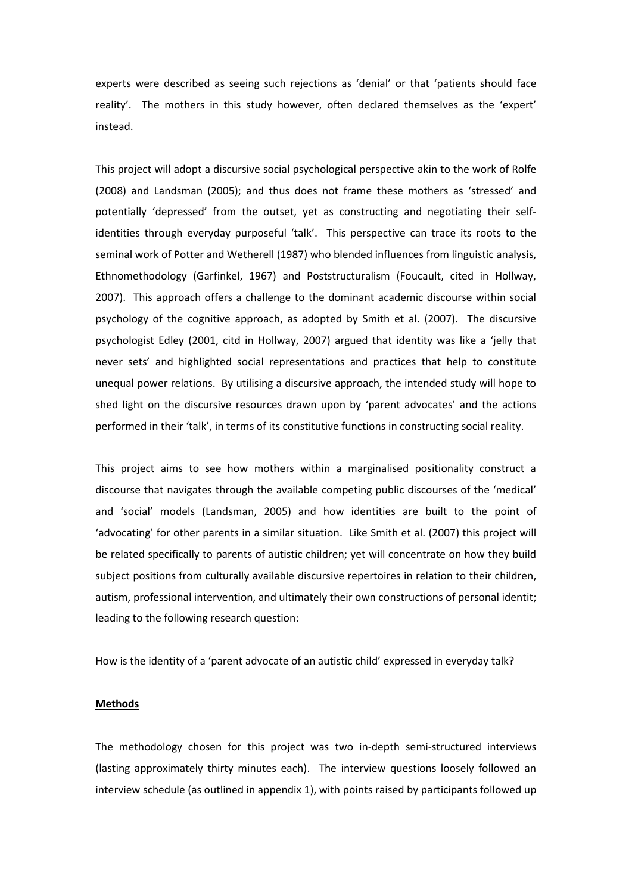experts were described as seeing such rejections as 'denial' or that 'patients should face reality'. The mothers in this study however, often declared themselves as the 'expert' instead.

This project will adopt a discursive social psychological perspective akin to the work of Rolfe (2008) and Landsman (2005); and thus does not frame these mothers as 'stressed' and potentially 'depressed' from the outset, yet as constructing and negotiating their selfidentities through everyday purposeful 'talk'. This perspective can trace its roots to the seminal work of Potter and Wetherell (1987) who blended influences from linguistic analysis, Ethnomethodology (Garfinkel, 1967) and Poststructuralism (Foucault, cited in Hollway, 2007). This approach offers a challenge to the dominant academic discourse within social psychology of the cognitive approach, as adopted by Smith et al. (2007). The discursive psychologist Edley (2001, citd in Hollway, 2007) argued that identity was like a 'jelly that never sets' and highlighted social representations and practices that help to constitute unequal power relations. By utilising a discursive approach, the intended study will hope to shed light on the discursive resources drawn upon by 'parent advocates' and the actions performed in their 'talk', in terms of its constitutive functions in constructing social reality.

This project aims to see how mothers within a marginalised positionality construct a discourse that navigates through the available competing public discourses of the 'medical' and 'social' models (Landsman, 2005) and how identities are built to the point of 'advocating' for other parents in a similar situation. Like Smith et al. (2007) this project will be related specifically to parents of autistic children; yet will concentrate on how they build subject positions from culturally available discursive repertoires in relation to their children, autism, professional intervention, and ultimately their own constructions of personal identit; leading to the following research question:

How is the identity of a 'parent advocate of an autistic child' expressed in everyday talk?

#### **Methods**

The methodology chosen for this project was two in-depth semi-structured interviews (lasting approximately thirty minutes each). The interview questions loosely followed an interview schedule (as outlined in appendix 1), with points raised by participants followed up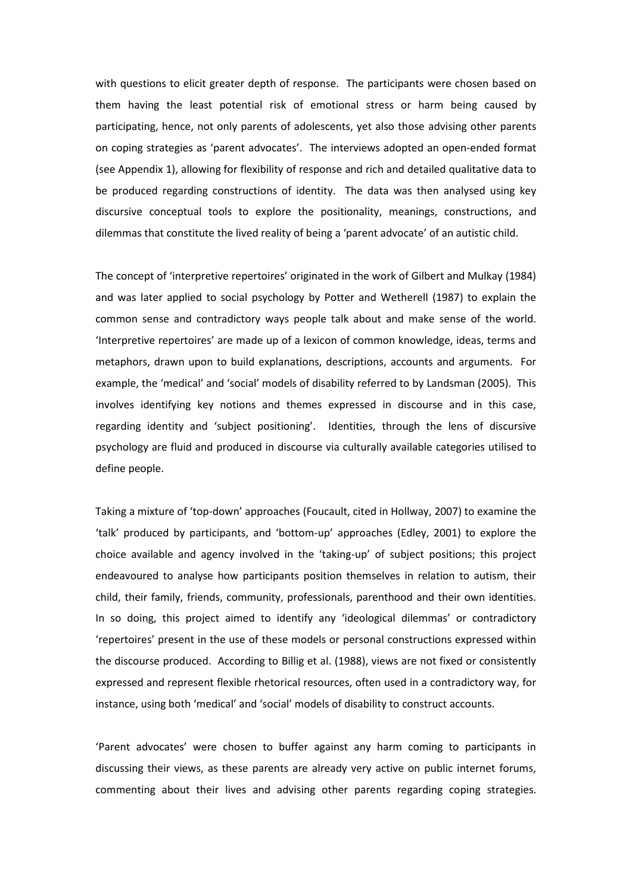with questions to elicit greater depth of response. The participants were chosen based on them having the least potential risk of emotional stress or harm being caused by participating, hence, not only parents of adolescents, yet also those advising other parents on coping strategies as 'parent advocates'. The interviews adopted an open-ended format (see Appendix 1), allowing for flexibility of response and rich and detailed qualitative data to be produced regarding constructions of identity. The data was then analysed using key discursive conceptual tools to explore the positionality, meanings, constructions, and dilemmas that constitute the lived reality of being a 'parent advocate' of an autistic child.

The concept of 'interpretive repertoires' originated in the work of Gilbert and Mulkay (1984) and was later applied to social psychology by Potter and Wetherell (1987) to explain the common sense and contradictory ways people talk about and make sense of the world. Interpretive repertoires' are made up of a lexicon of common knowledge, ideas, terms and metaphors, drawn upon to build explanations, descriptions, accounts and arguments. For example, the 'medical' and 'social' models of disability referred to by Landsman (2005). This involves identifying key notions and themes expressed in discourse and in this case, regarding identity and 'subject positioning'. Identities, through the lens of discursive psychology are fluid and produced in discourse via culturally available categories utilised to define people.

Taking a mixture of 'top-down' approaches (Foucault, cited in Hollway, 2007) to examine the 'talk' produced by participants, and 'bottom-up' approaches (Edley, 2001) to explore the choice available and agency involved in the 'taking-up' of subject positions; this project endeavoured to analyse how participants position themselves in relation to autism, their child, their family, friends, community, professionals, parenthood and their own identities. In so doing, this project aimed to identify any 'ideological dilemmas' or contradictory 'repertoires' present in the use of these models or personal constructions expressed within the discourse produced. According to Billig et al. (1988), views are not fixed or consistently expressed and represent flexible rhetorical resources, often used in a contradictory way, for instance, using both 'medical' and 'social' models of disability to construct accounts.

'Parent advocates' were chosen to buffer against any harm coming to participants in discussing their views, as these parents are already very active on public internet forums, commenting about their lives and advising other parents regarding coping strategies.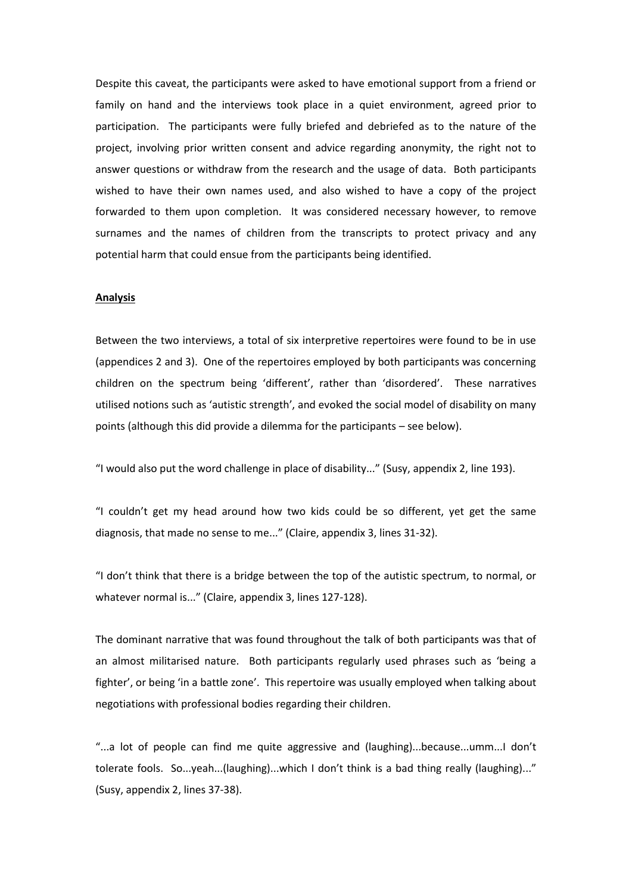Despite this caveat, the participants were asked to have emotional support from a friend or family on hand and the interviews took place in a quiet environment, agreed prior to participation. The participants were fully briefed and debriefed as to the nature of the project, involving prior written consent and advice regarding anonymity, the right not to answer questions or withdraw from the research and the usage of data. Both participants wished to have their own names used, and also wished to have a copy of the project forwarded to them upon completion. It was considered necessary however, to remove surnames and the names of children from the transcripts to protect privacy and any potential harm that could ensue from the participants being identified.

#### **Analysis**

Between the two interviews, a total of six interpretive repertoires were found to be in use (appendices 2 and 3). One of the repertoires employed by both participants was concerning children on the spectrum being 'different', rather than 'disordered'. These narratives utilised notions such as 'autistic strength', and evoked the social model of disability on many points (although this did provide a dilemma for the participants – see below).

"I would also put the word challenge in place of disability..." (Susy, appendix 2, line 193).

"I couldn't get my head around how two kids could be so different, yet get the same diagnosis, that made no sense to me..." (Claire, appendix 3, lines 31-32).

"I don't think that there is a bridge between the top of the autistic spectrum, to normal, or whatever normal is..." (Claire, appendix 3, lines 127-128).

The dominant narrative that was found throughout the talk of both participants was that of an almost militarised nature. Both participants regularly used phrases such as 'being a fighter', or being 'in a battle zone'. This repertoire was usually employed when talking about negotiations with professional bodies regarding their children.

"...a lot of people can find me quite aggressive and (laughing)...because...umm...I don't tolerate fools. So...yeah...(laughing)...which I don't think is a bad thing really (laughing)..." (Susy, appendix 2, lines 37-38).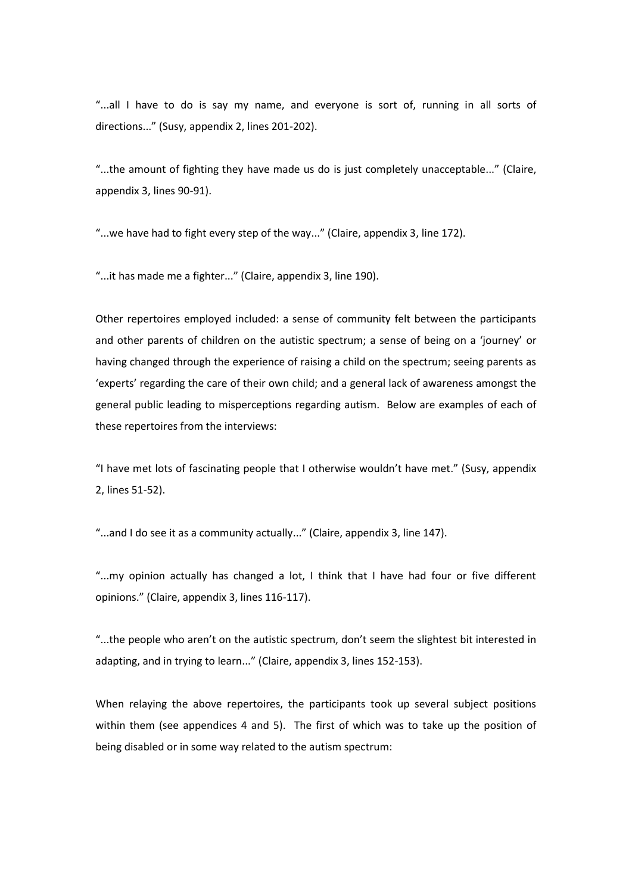"...all I have to do is say my name, and everyone is sort of, running in all sorts of directions..." (Susy, appendix 2, lines 201-202).

"...the amount of fighting they have made us do is just completely unacceptable..." (Claire, appendix 3, lines 90-91).

"...we have had to fight every step of the way..." (Claire, appendix 3, line 172).

"...it has made me a fighter..." (Claire, appendix 3, line 190).

Other repertoires employed included: a sense of community felt between the participants and other parents of children on the autistic spectrum; a sense of being on a 'journey' or having changed through the experience of raising a child on the spectrum; seeing parents as 'experts' regarding the care of their own child; and a general lack of awareness amongst the general public leading to misperceptions regarding autism. Below are examples of each of these repertoires from the interviews:

"I have met lots of fascinating people that I otherwise wouldn't have met." (Susy, appendix 2, lines 51-52).

"...and I do see it as a community actually..." (Claire, appendix 3, line 147).

"...my opinion actually has changed a lot, I think that I have had four or five different opinions." (Claire, appendix 3, lines 116-117).

"...the people who aren't on the autistic spectrum, don't seem the slightest bit interested in adapting, and in trying to learn..." (Claire, appendix 3, lines 152-153).

When relaying the above repertoires, the participants took up several subject positions within them (see appendices 4 and 5). The first of which was to take up the position of being disabled or in some way related to the autism spectrum: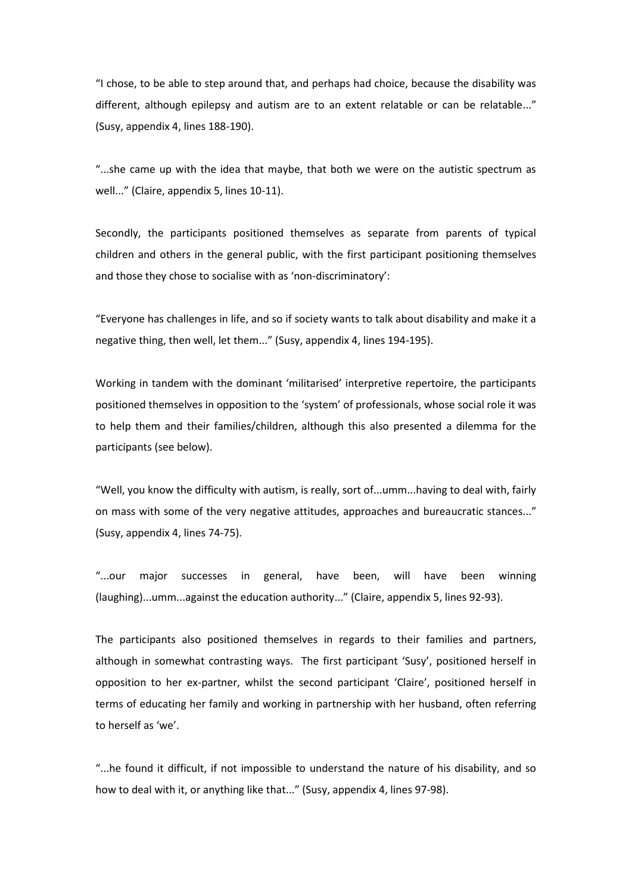"I chose, to be able to step around that, and perhaps had choice, because the disability was different, although epilepsy and autism are to an extent relatable or can be relatable..." (Susy, appendix 4, lines 188-190).

"...she came up with the idea that maybe, that both we were on the autistic spectrum as well..." (Claire, appendix 5, lines 10-11).

Secondly, the participants positioned themselves as separate from parents of typical children and others in the general public, with the first participant positioning themselves and those they chose to socialise with as 'non-discriminatory':

"Everyone has challenges in life, and so if society wants to talk about disability and make it a negative thing, then well, let them..." (Susy, appendix 4, lines 194-195).

Working in tandem with the dominant 'militarised' interpretive repertoire, the participants positioned themselves in opposition to the 'system' of professionals, whose social role it was to help them and their families/children, although this also presented a dilemma for the participants (see below).

"Well, you know the difficulty with autism, is really, sort of...umm...having to deal with, fairly on mass with some of the very negative attitudes, approaches and bureaucratic stances..." (Susy, appendix 4, lines 74-75).

"...our major successes in general, have been, will have been winning (laughing)...umm...against the education authority..." (Claire, appendix 5, lines 92-93).

The participants also positioned themselves in regards to their families and partners, although in somewhat contrasting ways. The first participant 'Susy', positioned herself in opposition to her ex-partner, whilst the second participant 'Claire', positioned herself in terms of educating her family and working in partnership with her husband, often referring to herself as 'we'.

"...he found it difficult, if not impossible to understand the nature of his disability, and so how to deal with it, or anything like that..." (Susy, appendix 4, lines 97-98).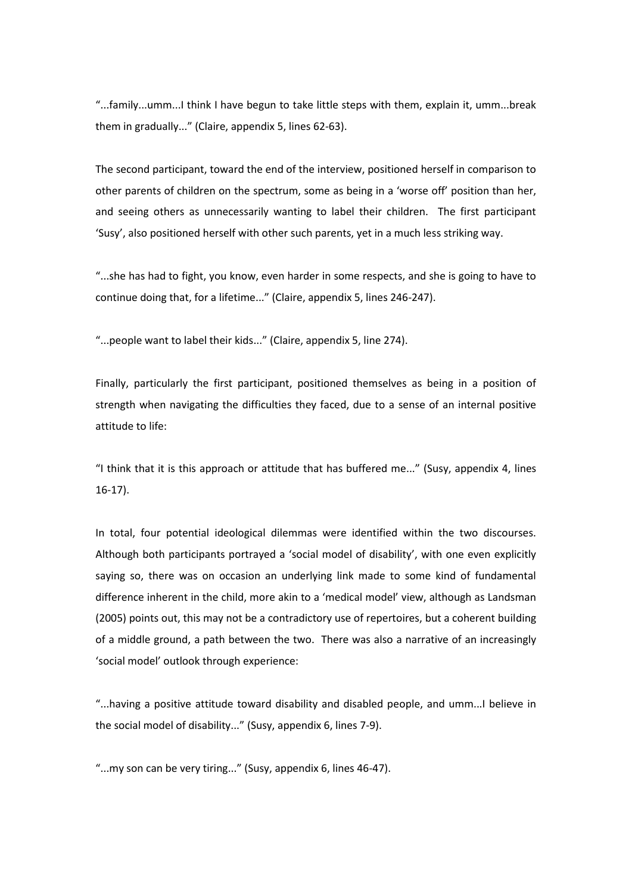"...family...umm...I think I have begun to take little steps with them, explain it, umm...break them in gradually..." (Claire, appendix 5, lines 62-63).

The second participant, toward the end of the interview, positioned herself in comparison to other parents of children on the spectrum, some as being in a 'worse off' position than her, and seeing others as unnecessarily wanting to label their children. The first participant 'Susy', also positioned herself with other such parents, yet in a much less striking way.

"...she has had to fight, you know, even harder in some respects, and she is going to have to continue doing that, for a lifetime..." (Claire, appendix 5, lines 246-247).

"...people want to label their kids..." (Claire, appendix 5, line 274).

Finally, particularly the first participant, positioned themselves as being in a position of strength when navigating the difficulties they faced, due to a sense of an internal positive attitude to life:

"I think that it is this approach or attitude that has buffered me..." (Susy, appendix 4, lines 16-17).

In total, four potential ideological dilemmas were identified within the two discourses. Although both participants portrayed a 'social model of disability', with one even explicitly saying so, there was on occasion an underlying link made to some kind of fundamental difference inherent in the child, more akin to a 'medical model' view, although as Landsman (2005) points out, this may not be a contradictory use of repertoires, but a coherent building of a middle ground, a path between the two. There was also a narrative of an increasingly 'social model' outlook through experience:

"...having a positive attitude toward disability and disabled people, and umm...I believe in the social model of disability..." (Susy, appendix 6, lines 7-9).

"...my son can be very tiring..." (Susy, appendix 6, lines 46-47).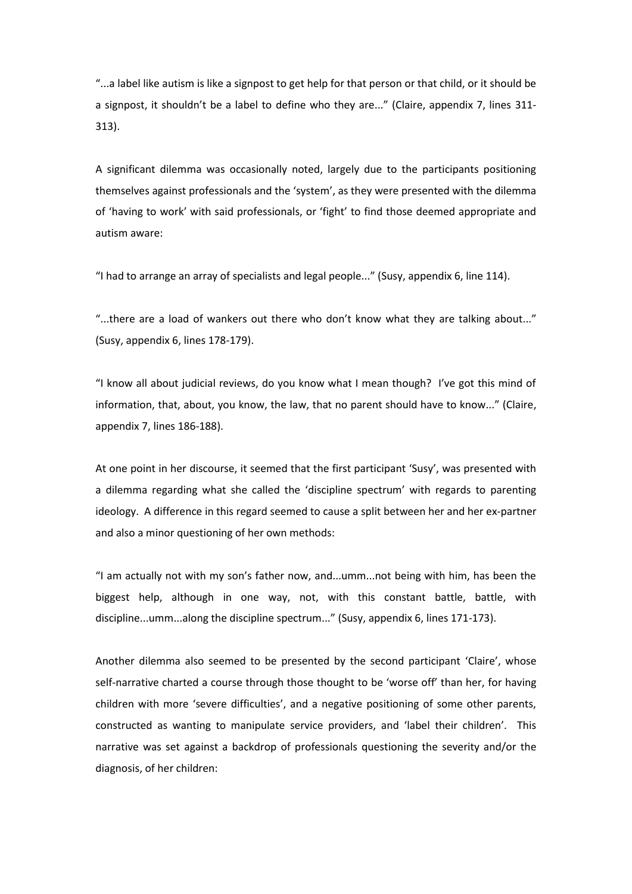"...a label like autism is like a signpost to get help for that person or that child, or it should be a signpost, it shouldn't be a label to define who they are..." (Claire, appendix 7, lines 311-313).

A significant dilemma was occasionally noted, largely due to the participants positioning themselves against professionals and the 'system', as they were presented with the dilemma of 'having to work' with said professionals, or 'fight' to find those deemed appropriate and autism aware:

"I had to arrange an array of specialists and legal people..." (Susy, appendix 6, line 114).

"...there are a load of wankers out there who don't know what they are talking about..." (Susy, appendix 6, lines 178-179).

"I know all about judicial reviews, do you know what I mean though? I've got this mind of information, that, about, you know, the law, that no parent should have to know..." (Claire, appendix 7, lines 186-188).

At one point in her discourse, it seemed that the first participant 'Susy', was presented with a dilemma regarding what she called the 'discipline spectrum' with regards to parenting ideology. A difference in this regard seemed to cause a split between her and her ex-partner and also a minor questioning of her own methods:

"I am actually not with my son's father now, and...umm...not being with him, has been the biggest help, although in one way, not, with this constant battle, battle, with discipline...umm...along the discipline spectrum..." (Susy, appendix 6, lines 171-173).

Another dilemma also seemed to be presented by the second participant 'Claire', whose self-narrative charted a course through those thought to be 'worse off' than her, for having children with more 'severe difficulties', and a negative positioning of some other parents, constructed as wanting to manipulate service providers, and 'label their children'. This narrative was set against a backdrop of professionals questioning the severity and/or the diagnosis, of her children: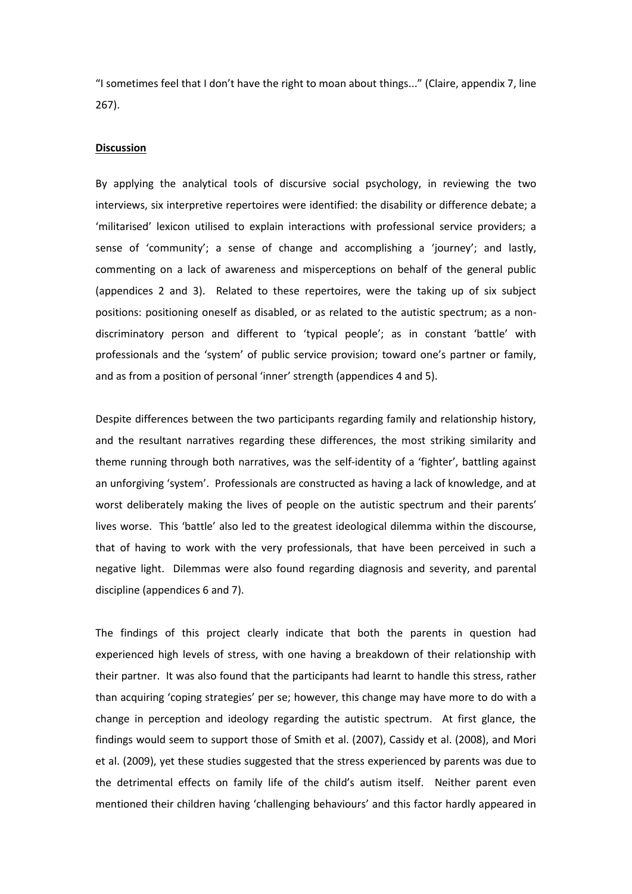"I sometimes feel that I don't have the right to moan about things..." (Claire, appendix 7, line 267).

## **Discussion**

By applying the analytical tools of discursive social psychology, in reviewing the two interviews, six interpretive repertoires were identified: the disability or difference debate; a 'militarised' lexicon utilised to explain interactions with professional service providers; a sense of 'community'; a sense of change and accomplishing a 'journey'; and lastly, commenting on a lack of awareness and misperceptions on behalf of the general public (appendices 2 and 3). Related to these repertoires, were the taking up of six subject positions: positioning oneself as disabled, or as related to the autistic spectrum; as a nondiscriminatory person and different to 'typical people'; as in constant 'battle' with professionals and the 'system' of public service provision; toward one's partner or family, and as from a position of personal 'inner' strength (appendices 4 and 5).

Despite differences between the two participants regarding family and relationship history, and the resultant narratives regarding these differences, the most striking similarity and theme running through both narratives, was the self-identity of a 'fighter', battling against an unforgiving 'system'. Professionals are constructed as having a lack of knowledge, and at worst deliberately making the lives of people on the autistic spectrum and their parents' lives worse. This 'battle' also led to the greatest ideological dilemma within the discourse, that of having to work with the very professionals, that have been perceived in such a negative light. Dilemmas were also found regarding diagnosis and severity, and parental discipline (appendices 6 and 7).

The findings of this project clearly indicate that both the parents in question had experienced high levels of stress, with one having a breakdown of their relationship with their partner. It was also found that the participants had learnt to handle this stress, rather than acquiring 'coping strategies' per se; however, this change may have more to do with a change in perception and ideology regarding the autistic spectrum. At first glance, the findings would seem to support those of Smith et al. (2007), Cassidy et al. (2008), and Mori et al. (2009), yet these studies suggested that the stress experienced by parents was due to the detrimental effects on family life of the child's autism itself. Neither parent even mentioned their children having 'challenging behaviours' and this factor hardly appeared in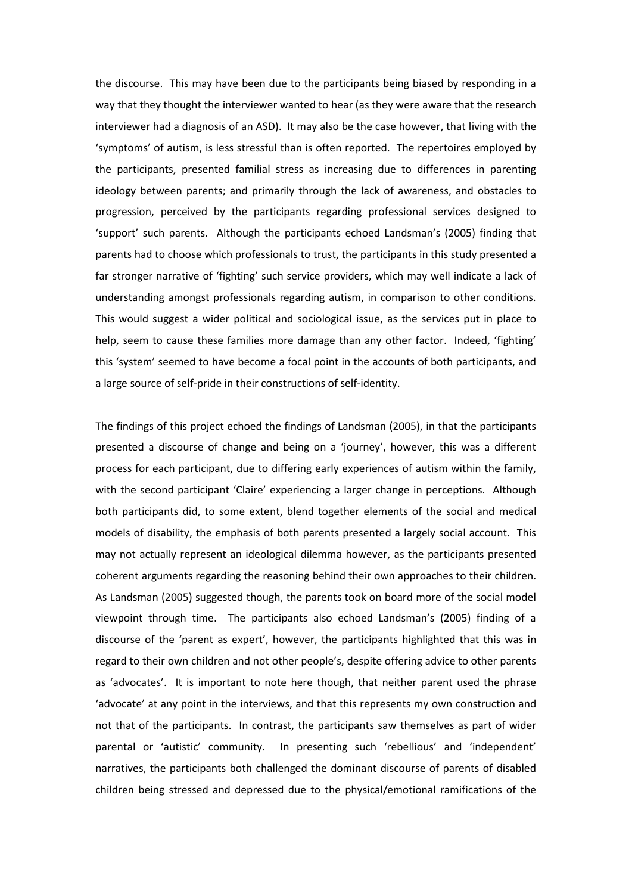the discourse. This may have been due to the participants being biased by responding in a way that they thought the interviewer wanted to hear (as they were aware that the research interviewer had a diagnosis of an ASD). It may also be the case however, that living with the 'symptoms' of autism, is less stressful than is often reported. The repertoires employed by the participants, presented familial stress as increasing due to differences in parenting ideology between parents; and primarily through the lack of awareness, and obstacles to progression, perceived by the participants regarding professional services designed to 'support' such parents. Although the participants echoed Landsman's (2005) finding that parents had to choose which professionals to trust, the participants in this study presented a far stronger narrative of 'fighting' such service providers, which may well indicate a lack of understanding amongst professionals regarding autism, in comparison to other conditions. This would suggest a wider political and sociological issue, as the services put in place to help, seem to cause these families more damage than any other factor. Indeed, 'fighting' this 'system' seemed to have become a focal point in the accounts of both participants, and a large source of self-pride in their constructions of self-identity.

The findings of this project echoed the findings of Landsman (2005), in that the participants presented a discourse of change and being on a 'journey', however, this was a different process for each participant, due to differing early experiences of autism within the family, with the second participant 'Claire' experiencing a larger change in perceptions. Although both participants did, to some extent, blend together elements of the social and medical models of disability, the emphasis of both parents presented a largely social account. This may not actually represent an ideological dilemma however, as the participants presented coherent arguments regarding the reasoning behind their own approaches to their children. As Landsman (2005) suggested though, the parents took on board more of the social model viewpoint through time. The participants also echoed Landsman's (2005) finding of a discourse of the 'parent as expert', however, the participants highlighted that this was in regard to their own children and not other people's, despite offering advice to other parents as 'advocates'. It is important to note here though, that neither parent used the phrase 'advocate' at any point in the interviews, and that this represents my own construction and not that of the participants. In contrast, the participants saw themselves as part of wider parental or 'autistic' community. In presenting such 'rebellious' and 'independent' narratives, the participants both challenged the dominant discourse of parents of disabled children being stressed and depressed due to the physical/emotional ramifications of the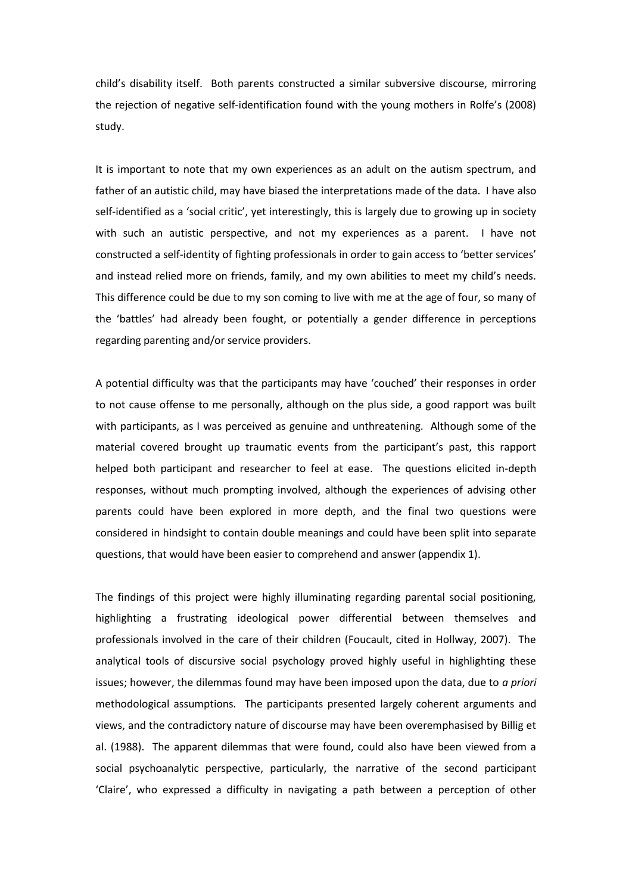child's disability itself. Both parents constructed a similar subversive discourse, mirroring the rejection of negative self-identification found with the young mothers in Rolfe's (2008) study.

It is important to note that my own experiences as an adult on the autism spectrum, and father of an autistic child, may have biased the interpretations made of the data. I have also self-identified as a 'social critic', yet interestingly, this is largely due to growing up in society with such an autistic perspective, and not my experiences as a parent. I have not constructed a self-identity of fighting professionals in order to gain access to 'better services' and instead relied more on friends, family, and my own abilities to meet my child's needs. This difference could be due to my son coming to live with me at the age of four, so many of the 'battles' had already been fought, or potentially a gender difference in perceptions regarding parenting and/or service providers.

A potential difficulty was that the participants may have 'couched' their responses in order to not cause offense to me personally, although on the plus side, a good rapport was built with participants, as I was perceived as genuine and unthreatening. Although some of the material covered brought up traumatic events from the participant's past, this rapport helped both participant and researcher to feel at ease. The questions elicited in-depth responses, without much prompting involved, although the experiences of advising other parents could have been explored in more depth, and the final two questions were considered in hindsight to contain double meanings and could have been split into separate questions, that would have been easier to comprehend and answer (appendix 1).

The findings of this project were highly illuminating regarding parental social positioning, highlighting a frustrating ideological power differential between themselves and professionals involved in the care of their children (Foucault, cited in Hollway, 2007). The analytical tools of discursive social psychology proved highly useful in highlighting these issues; however, the dilemmas found may have been imposed upon the data, due to *a priori* methodological assumptions. The participants presented largely coherent arguments and views, and the contradictory nature of discourse may have been overemphasised by Billig et al. (1988). The apparent dilemmas that were found, could also have been viewed from a social psychoanalytic perspective, particularly, the narrative of the second participant 'Claire', who expressed a difficulty in navigating a path between a perception of other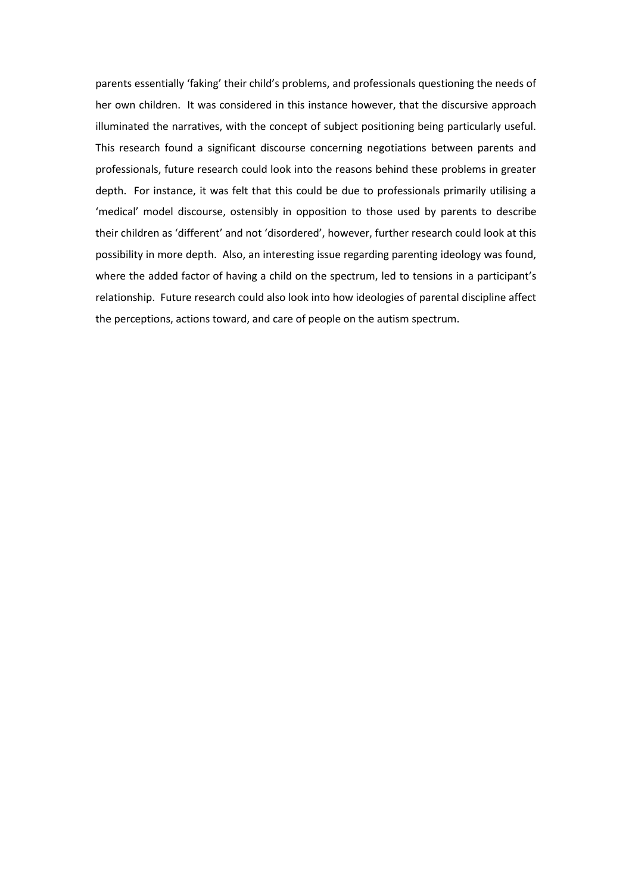parents essentially 'faking' their child's problems, and professionals questioning the needs of her own children. It was considered in this instance however, that the discursive approach illuminated the narratives, with the concept of subject positioning being particularly useful. This research found a significant discourse concerning negotiations between parents and professionals, future research could look into the reasons behind these problems in greater depth. For instance, it was felt that this could be due to professionals primarily utilising a 'medical' model discourse, ostensibly in opposition to those used by parents to describe their children as 'different' and not 'disordered', however, further research could look at this possibility in more depth. Also, an interesting issue regarding parenting ideology was found, where the added factor of having a child on the spectrum, led to tensions in a participant's relationship. Future research could also look into how ideologies of parental discipline affect the perceptions, actions toward, and care of people on the autism spectrum.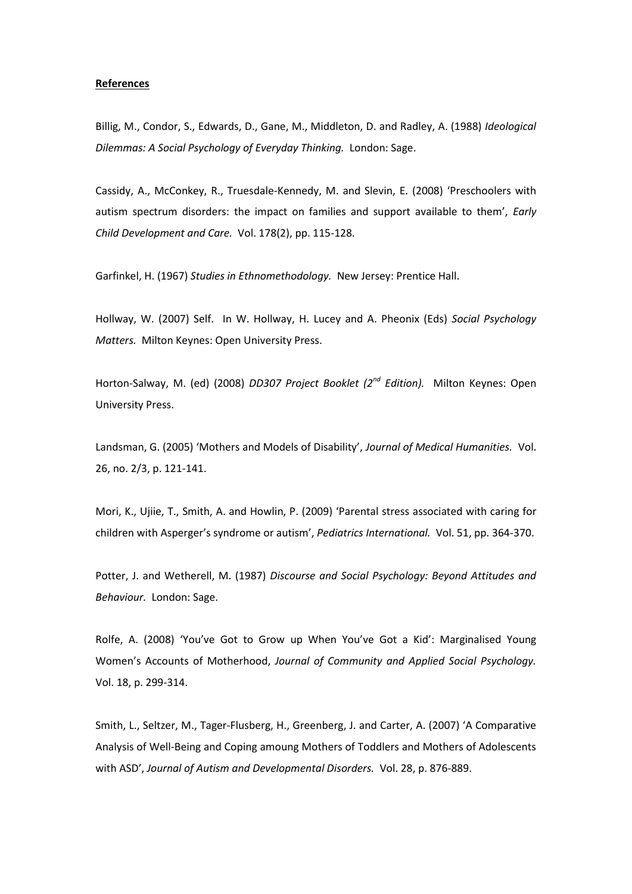#### **References**

Billig, M., Condor, S., Edwards, D., Gane, M., Middleton, D. and Radley, A. (1988) *Ideological Dilemmas: A Social Psychology of Everyday Thinking.* London: Sage.

Cassidy, A., McConkey, R., Truesdale-Kennedy, M. and Slevin, E. (2008) 'Preschoolers with autism spectrum disorders: the impact on families and support available to them', *Early Child Development and Care.* Vol. 178(2), pp. 115-128.

Garfinkel, H. (1967) *Studies in Ethnomethodology.* New Jersey: Prentice Hall.

Hollway, W. (2007) Self. In W. Hollway, H. Lucey and A. Pheonix (Eds) *Social Psychology Matters.* Milton Keynes: Open University Press.

Horton-Salway, M. (ed) (2008) *DD307 Project Booklet (2nd Edition).* Milton Keynes: Open University Press.

Landsman, G. (2005) 'Mothers and Models of Disability', Journal of Medical Humanities. Vol. 26, no. 2/3, p. 121-141.

Mori, K., Ujiie, T., Smith, A. and Howlin, P. (2009) 'Parental stress associated with caring for children with Asperger's syndrome or autism', Pediatrics International. Vol. 51, pp. 364-370.

Potter, J. and Wetherell, M. (1987) *Discourse and Social Psychology: Beyond Attitudes and Behaviour.* London: Sage.

Rolfe, A. (2008) 'You've Got to Grow up When You've Got a Kid': Marginalised Young Women's Accounts of Motherhood, *Journal of Community and Applied Social Psychology.* Vol. 18, p. 299-314.

Smith, L., Seltzer, M., Tager-Flusberg, H., Greenberg, J. and Carter, A. (2007) 'A Comparative Analysis of Well-Being and Coping amoung Mothers of Toddlers and Mothers of Adolescents with ASD', Journal of Autism and Developmental Disorders. Vol. 28, p. 876-889.